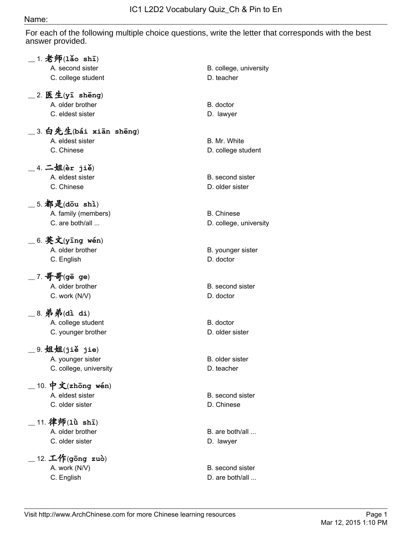#### Name:

For each of the following multiple choice questions, write the letter that corresponds with the best answer provided.

| 1. 老师(lǎo shī)                             |                                |
|--------------------------------------------|--------------------------------|
| A. second sister                           | B. college, university         |
| C. college student                         | D. teacher                     |
| $\_$ 2. 医生(yī shēng)                       |                                |
| A. older brother                           | B. doctor                      |
| C. eldest sister                           | D. lawyer                      |
| $\_$ 3. 白先生(bái xiān shēng)                |                                |
| A. eldest sister                           | B. Mr. White                   |
| C. Chinese                                 | D. college student             |
| _4. 二姐(èr jiě)                             |                                |
| A. eldest sister                           | B. second sister               |
| C. Chinese                                 | D. older sister                |
|                                            |                                |
| $\_$ 5. 都是(dōu shì)<br>A. family (members) | <b>B.</b> Chinese              |
| C. are both/all                            | D. college, university         |
|                                            |                                |
| $-$ 6. 英文(yīng wén)                        |                                |
| A. older brother<br>C. English             | B. younger sister<br>D. doctor |
|                                            |                                |
| $\_$ 7. 哥哥(gē ge)                          |                                |
| A. older brother                           | B. second sister               |
| C. work (N/V)                              | D. doctor                      |
| _8. 弟弟(dì di)                              |                                |
| A. college student                         | B. doctor                      |
| C. younger brother                         | D. older sister                |
| $9. $ 姐姐 $(j$ iě jie $)$                   |                                |
| A. younger sister                          | B. older sister                |
| C. college, university                     | D. teacher                     |
| 10. 中文(zhōng wén)                          |                                |
| A. eldest sister                           | B. second sister               |
| C. older sister                            | D. Chinese                     |
| 11. 律师(1ù shī)                             |                                |
| A. older brother                           | B. are both/all                |
| C. older sister                            | D. lawyer                      |
|                                            |                                |
| 12. 工作(gōng zuò)<br>A. work (N/V)          | B. second sister               |
| C. English                                 | D. are both/all                |
|                                            |                                |